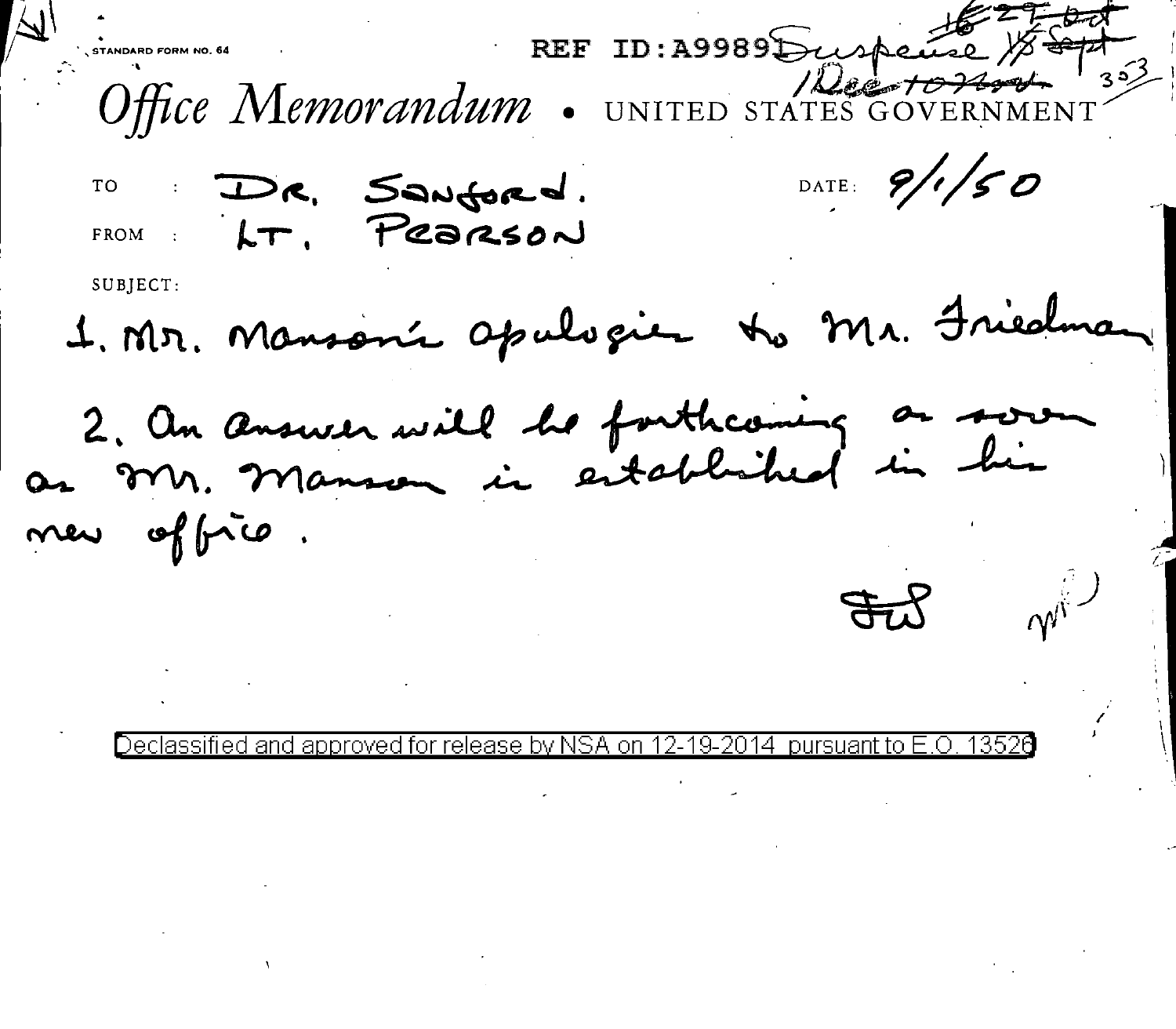REF ID:A9989 Duspeire Office Memorandum . UNITED STATES GOVERNMENT DATE:  $9/1/50$ DR. Sanford. TO FROM LT. PRORSON SUBJECT: 1. Mr. Mansonie apulvaien to Mr. Friedma 2. An answer will be forthcoming on sors new offrio.

Declassified and approved for release by NSA on 12-19-2014 pursuant to E.O 13526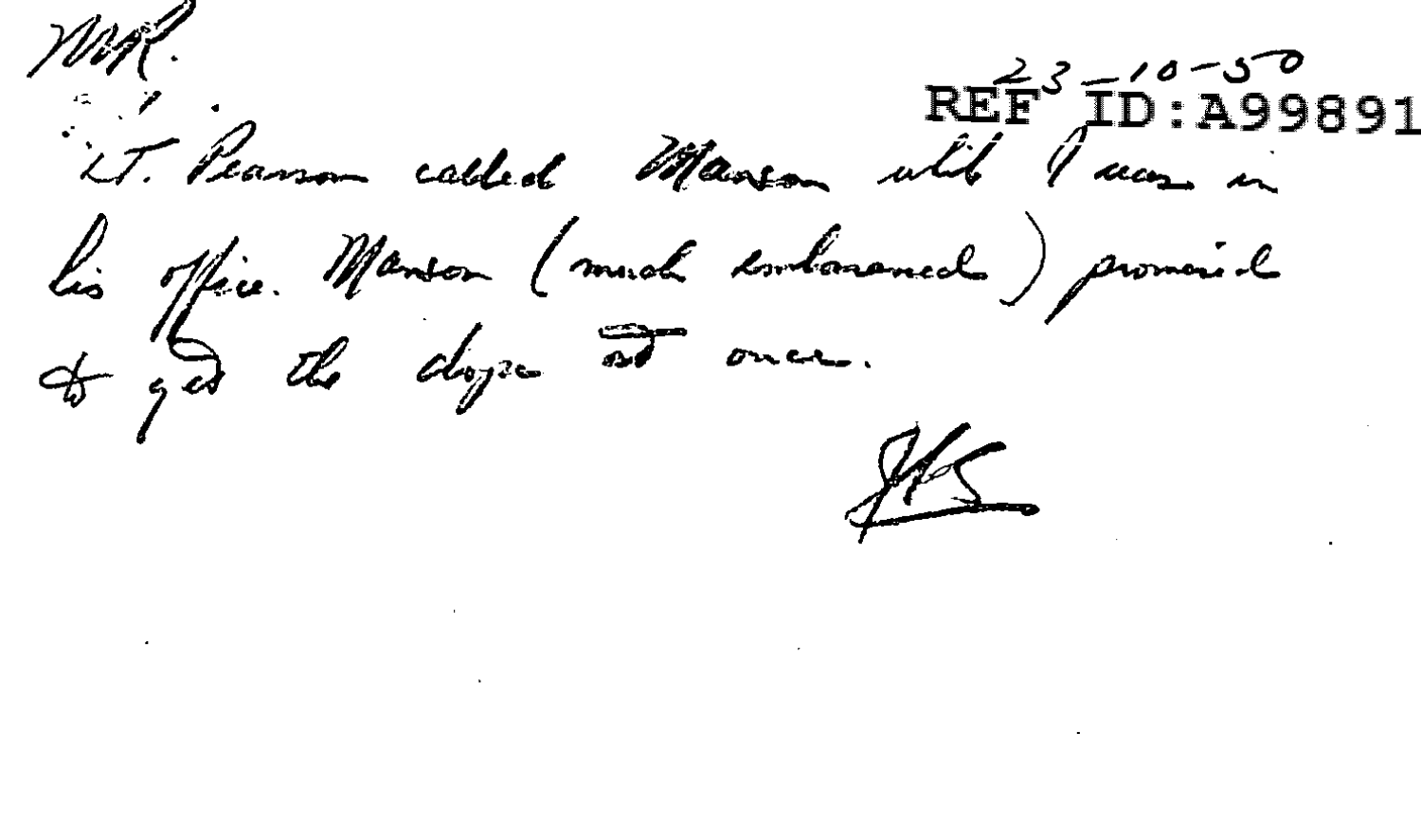NM. REF<sup>3</sup>ID:A99891<br>it Peanon called Manson with aun in lis office. Menson (much embanamed) promonial

 $15$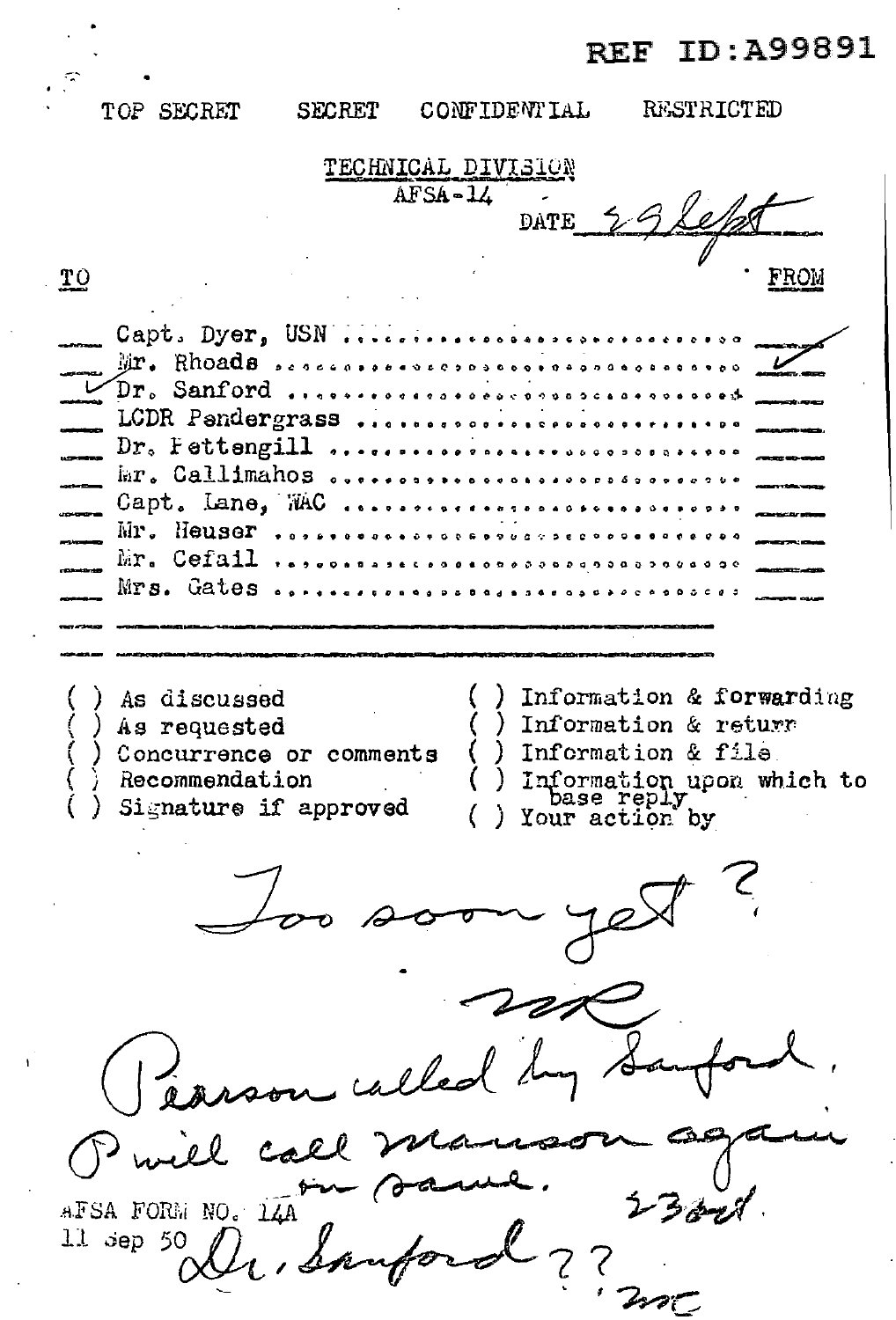## **REF ID:A99891**

CONFIDENTIAL RESTRICTED TOP SECRET **SECRET** TECHNICAL DIVISION  $AFSA-14$ DATE  $\underline{\mathbf{T}}\underline{\mathbf{O}}$ Capt. Dyer, USN .... Mr. Rhoads ............. Dr. Sanford ........... .......... LCDR Pandergrass ...... . . . . . . . . . . . . . . . Dr. Fettengill ............................ mr. Callimahos.. . . . . . . . . . . . . . . . . . . . . Capt. Lane, WAC  $\frac{1}{2}$  $\cdots$  $\begin{array}{cccccccccccccc} a & a & a & a & b & a & b & b \end{array}$ Mr. Heuser ...... Mr. Cefail ...................... Mrs. Gates .......................... Information & forwarding ) As discussed Information & return As requested Concurrence or comments Information & file Information upon which to<br>base reply<br>Your action by Recommendation Signature if approved son called by لكرهم مبدمه AFSA FORM NO. 14A Dr. Sanfo 11 sep 50  $/$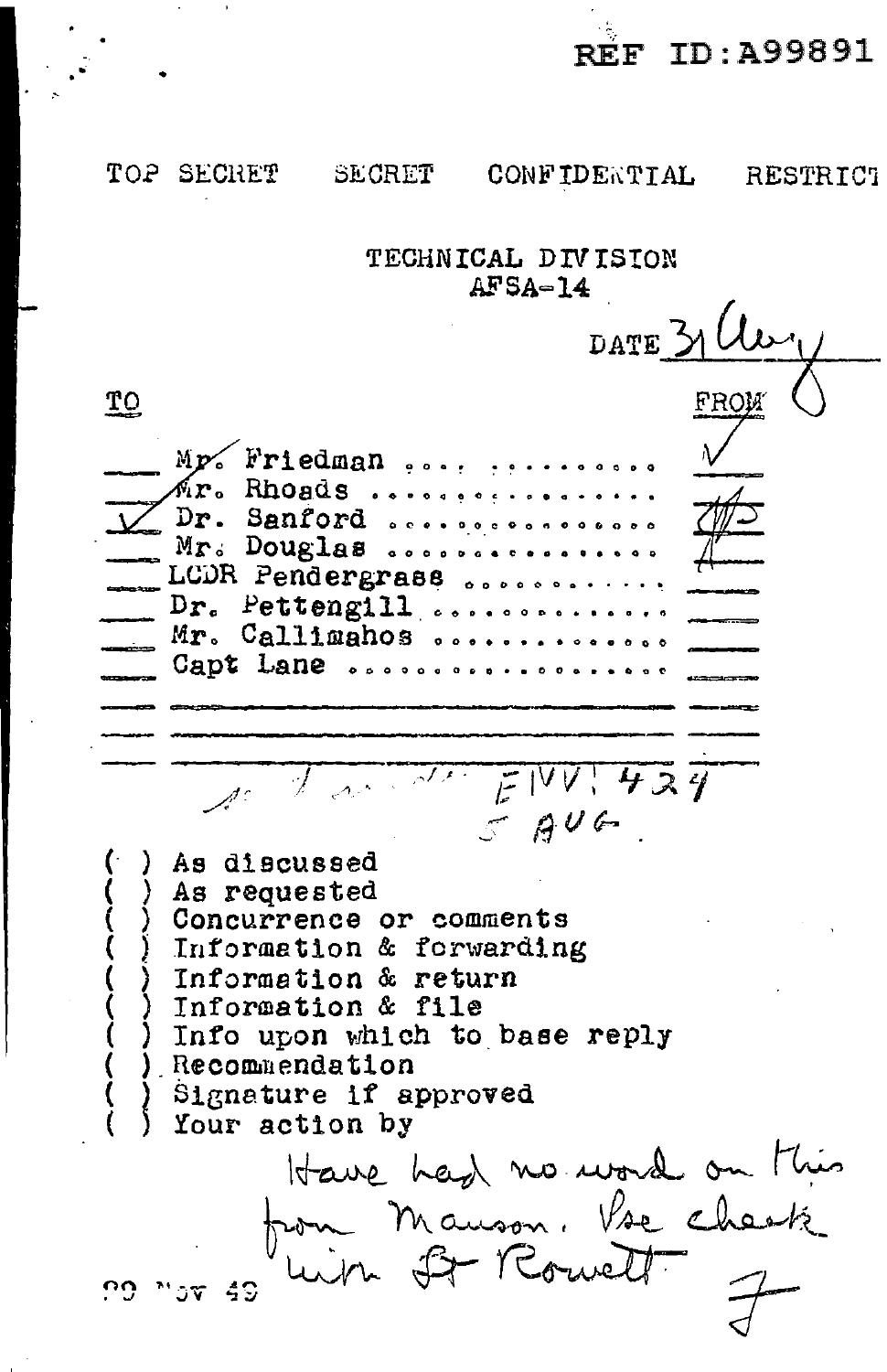*-:* REF ID:A99891

TOP SECHET SECRET CONFIDERTIAL RESTRICT TECHNICAL DIVISION  $AFSA=14$ DATE **TO**  $\sqrt{ }$ Mp. Friedman .... **Rhoa.d s 0 0 • 0 Cl e 0 c** • Cl • ., • 0 ••• Dr. Sanford ...................<br>Mr. Douglas ................. LCDR Pendergrass ........<br>Dr. Pettengill .......... <sup>~</sup>*Dro* Pettengill~ •...•........ ~ Mr. Callimahos ••••...••••••• ~ **Capt Lane 0 t) 0 a 0 Cl 0** " II •• 0 0 0 •• **0 a Cl**  <sup>J</sup>\_, - f Iv *V* : *1t- :A 1*   $5906$ As discussed<br>As requested Concurrence or comments Information & forwarding Information & return Information & file Info upon which to base reply Recommendation Signature if approved Your action by Have had no word on this from Mauson. Vse cheet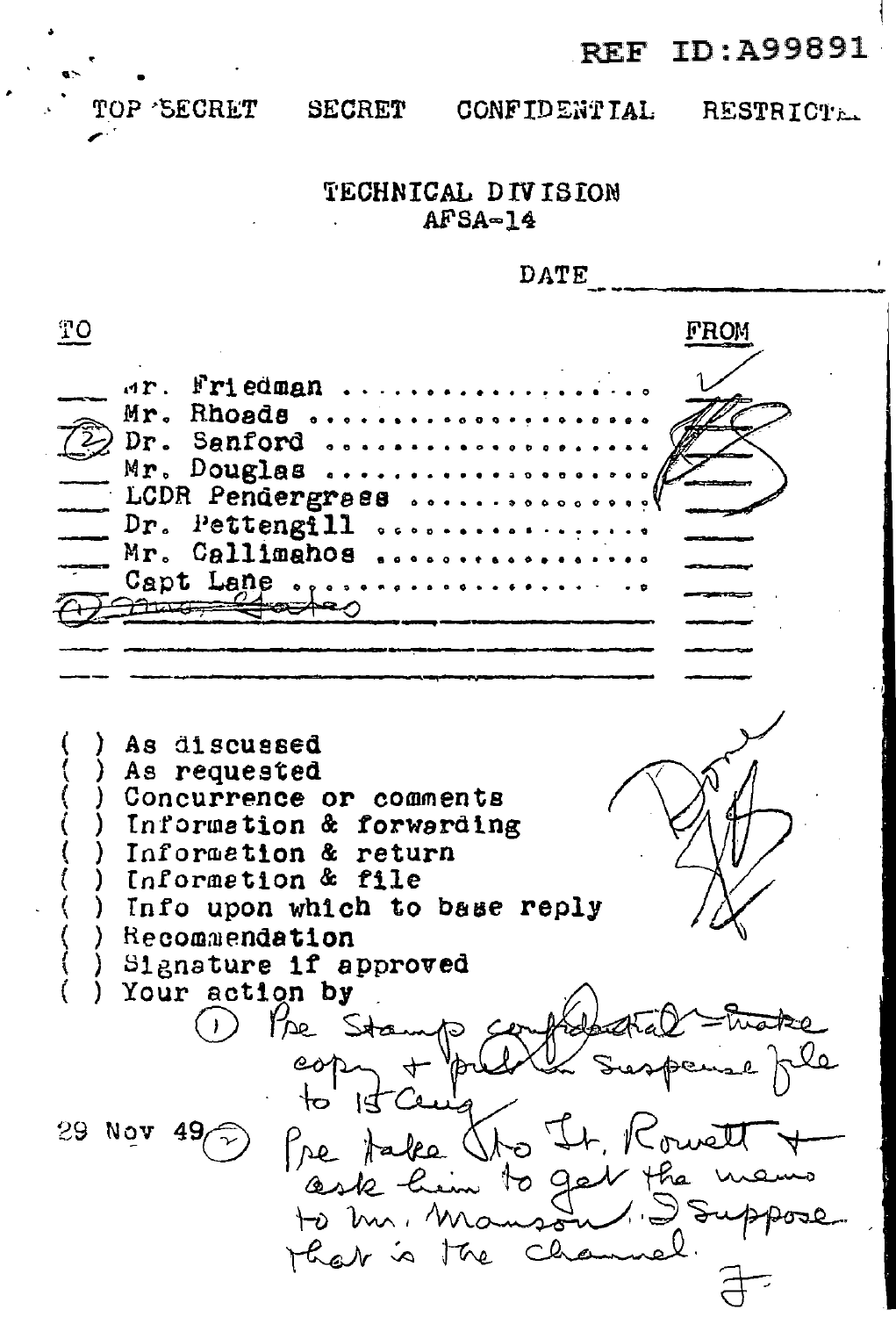REF ID:A99891

*r* 

TOP 'SECRET SECRET CONFIDENTIAL RESTRICTE.

 $\mathbf{I}$ 

## TECHNICAL DIVISION  $AFSA-14$

DATE TO EROM \*\*. **Friedman .......**<br>Mr. Rhoads ......... ~ **Dr. Sanford** ~ *"* ....... *o* • *o* D o ••••••  $Mr.$  Douglas ......... ==::- LCDR Pendergrass ······•o•oo••·~ --=-=--  $Dr.$  Pettengill  $\dots\dots\dots\dots$ Dr. Pettengill ......<br>Mr. Callimahos ......<br>Capt Lane .......... ~11.1 g ' ej l:'A::>4'-- *<sup>0</sup>*------- As discussed<br>As requested Concurrence or comments Information & forwarding Information & return Informetion & file Info upon which to base reply Recommendation Signature if approved<br>Your action by  $P_{\text{DP}}$  Sta re Stamp confidental trate al make 1) the Stamp confidental -wake te him to get the u har is the ch  $\overline{d}$  $\cdot$  .